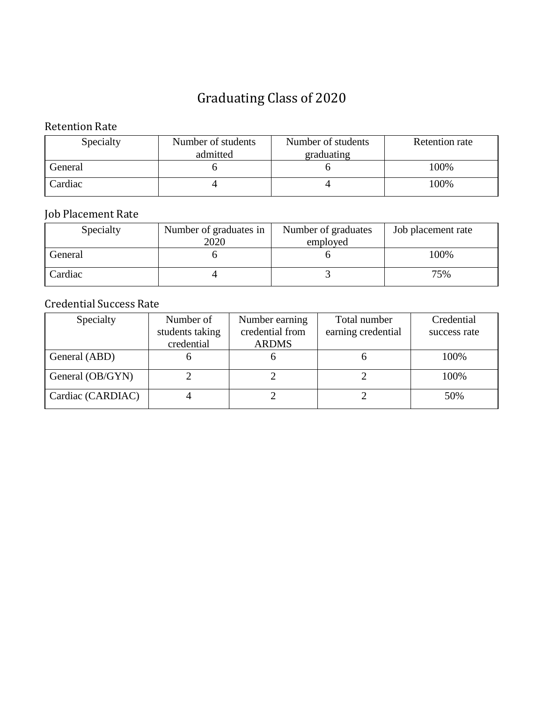#### Retention Rate

| Specialty | Number of students     | Number of students | <b>Retention rate</b> |
|-----------|------------------------|--------------------|-----------------------|
|           | graduating<br>admitted |                    |                       |
| General   |                        |                    | 100%                  |
| Cardiac   |                        |                    | 100%                  |

### Job Placement Rate

| Specialty | Number of graduates in | Number of graduates | Job placement rate |
|-----------|------------------------|---------------------|--------------------|
|           | 2020                   | employed            |                    |
| General   |                        |                     | 100%               |
| Cardiac   |                        |                     | 75%                |

| Specialty         | Number of       | Number earning  | Total number       | Credential   |
|-------------------|-----------------|-----------------|--------------------|--------------|
|                   | students taking | credential from | earning credential | success rate |
|                   | credential      | <b>ARDMS</b>    |                    |              |
| General (ABD)     |                 |                 |                    | 100%         |
| General (OB/GYN)  |                 |                 |                    | 100%         |
| Cardiac (CARDIAC) |                 |                 |                    | 50%          |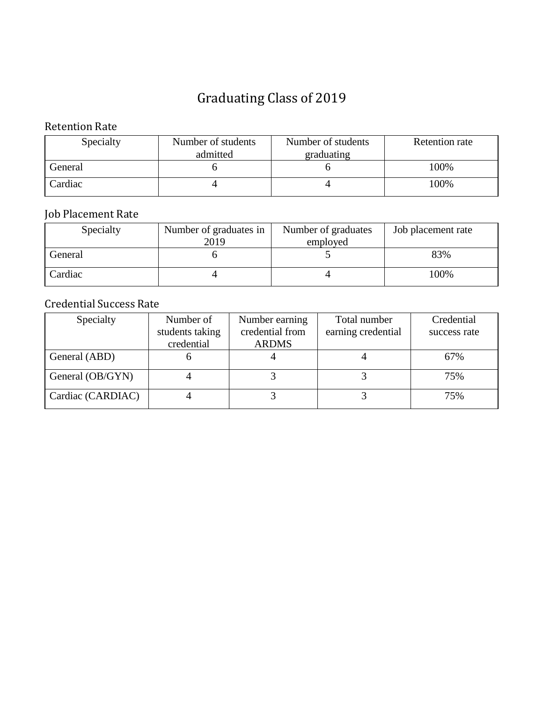#### Retention Rate

| Specialty | Number of students     | Number of students | <b>Retention rate</b> |
|-----------|------------------------|--------------------|-----------------------|
|           | graduating<br>admitted |                    |                       |
| General   |                        |                    | 100%                  |
| Cardiac   |                        |                    | 100%                  |

### Job Placement Rate

| Specialty | Number of graduates in | Number of graduates | Job placement rate |
|-----------|------------------------|---------------------|--------------------|
|           | 2019                   | employed            |                    |
| General   |                        |                     | 83%                |
| Cardiac   |                        |                     | 100%               |

| Specialty         | Number of       | Number earning  | Total number       | Credential   |
|-------------------|-----------------|-----------------|--------------------|--------------|
|                   | students taking | credential from | earning credential | success rate |
|                   | credential      | <b>ARDMS</b>    |                    |              |
| General (ABD)     |                 |                 |                    | 67%          |
| General (OB/GYN)  |                 |                 |                    | 75%          |
| Cardiac (CARDIAC) |                 |                 |                    | 75%          |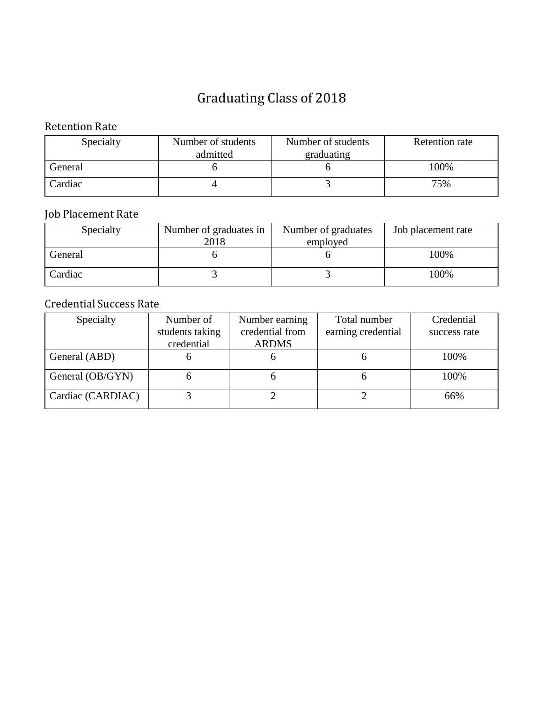#### Retention Rate

| Specialty | Number of students     | Number of students | <b>Retention</b> rate |
|-----------|------------------------|--------------------|-----------------------|
|           | graduating<br>admitted |                    |                       |
| General   |                        |                    | 100%                  |
| Cardiac   |                        |                    | 75%                   |

### Job Placement Rate

| Specialty | Number of graduates in | Number of graduates | Job placement rate |
|-----------|------------------------|---------------------|--------------------|
|           | 2018                   | employed            |                    |
| General   |                        |                     | 100%               |
| Cardiac   |                        |                     | 100%               |

| Specialty         | Number of       | Number earning  | Total number       | Credential   |
|-------------------|-----------------|-----------------|--------------------|--------------|
|                   | students taking | credential from | earning credential | success rate |
|                   | credential      | <b>ARDMS</b>    |                    |              |
| General (ABD)     |                 |                 |                    | 100%         |
| General (OB/GYN)  |                 |                 |                    | 100%         |
| Cardiac (CARDIAC) |                 |                 |                    | 66%          |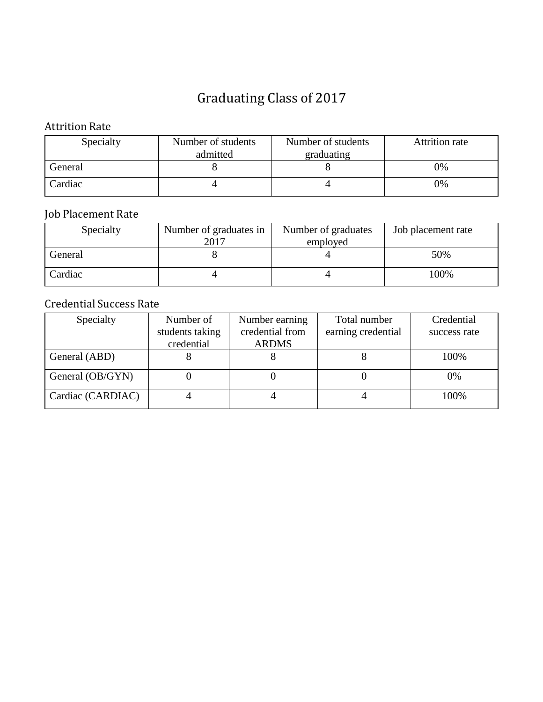### Attrition Rate

| Specialty | Number of students     | Number of students | <b>Attrition rate</b> |
|-----------|------------------------|--------------------|-----------------------|
|           | graduating<br>admitted |                    |                       |
| General   |                        |                    | 0%                    |
| Cardiac   |                        |                    | $9\%$                 |

### Job Placement Rate

| Specialty | Number of graduates in | Number of graduates | Job placement rate |
|-----------|------------------------|---------------------|--------------------|
|           | 2017                   | employed            |                    |
| General   |                        |                     | 50%                |
| Cardiac   |                        |                     | 100%               |

| Specialty         | Number of       | Number earning  | Total number       | Credential   |
|-------------------|-----------------|-----------------|--------------------|--------------|
|                   | students taking | credential from | earning credential | success rate |
|                   | credential      | <b>ARDMS</b>    |                    |              |
| General (ABD)     |                 |                 |                    | 100%         |
| General (OB/GYN)  |                 |                 |                    | 0%           |
| Cardiac (CARDIAC) |                 |                 |                    | 100%         |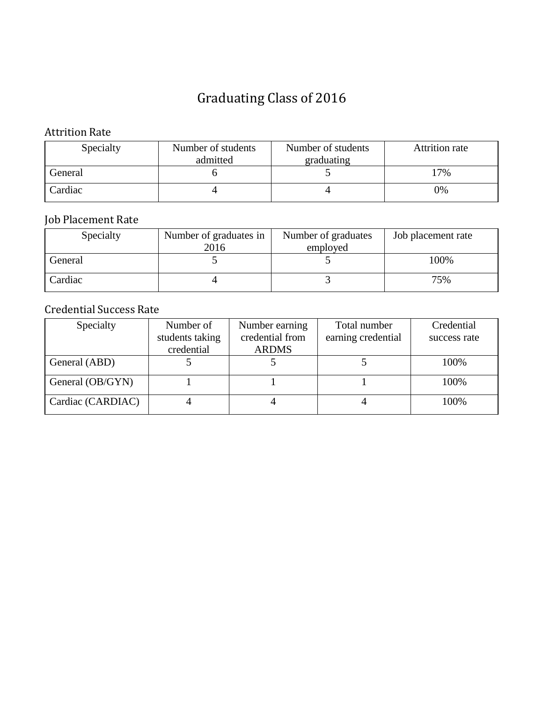#### Attrition Rate

| Specialty | Number of students<br>Number of students |            | <b>Attrition rate</b> |
|-----------|------------------------------------------|------------|-----------------------|
|           | admitted                                 | graduating |                       |
| General   |                                          |            | 17%                   |
| Cardiac   |                                          |            | 0%                    |

## Job Placement Rate

| Specialty | Number of graduates in<br>Number of graduates<br>2016<br>employed |  | Job placement rate |
|-----------|-------------------------------------------------------------------|--|--------------------|
| General   |                                                                   |  | 100%               |
| Cardiac   |                                                                   |  | 75%                |

| Specialty         | Number of       | Number earning  | Total number       | Credential   |
|-------------------|-----------------|-----------------|--------------------|--------------|
|                   | students taking | credential from | earning credential | success rate |
|                   | credential      | <b>ARDMS</b>    |                    |              |
| General (ABD)     |                 |                 |                    | 100%         |
| General (OB/GYN)  |                 |                 |                    | 100%         |
| Cardiac (CARDIAC) |                 |                 |                    | 100%         |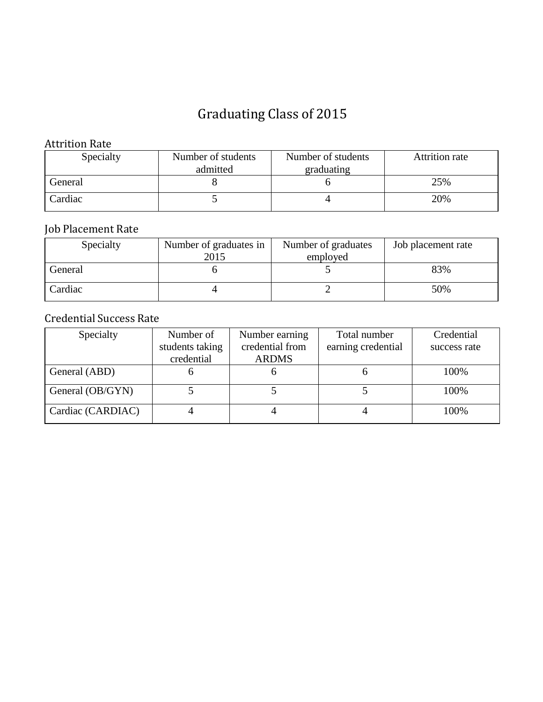#### Attrition Rate

| Specialty | Number of students     | Number of students | <b>Attrition rate</b> |
|-----------|------------------------|--------------------|-----------------------|
|           | admitted<br>graduating |                    |                       |
| General   |                        |                    | 25%                   |
| Cardiac   |                        |                    | 20%                   |

## Job Placement Rate

| Specialty | Number of graduates in<br>2015 | Number of graduates<br>employed | Job placement rate |
|-----------|--------------------------------|---------------------------------|--------------------|
| General   |                                |                                 | 83%                |
| Cardiac   |                                |                                 | 50%                |

| Specialty         | Number of       | Number earning  | Total number       | Credential   |
|-------------------|-----------------|-----------------|--------------------|--------------|
|                   | students taking | credential from | earning credential | success rate |
|                   | credential      | <b>ARDMS</b>    |                    |              |
| General (ABD)     |                 |                 |                    | 100%         |
| General (OB/GYN)  |                 |                 |                    | 100%         |
| Cardiac (CARDIAC) |                 |                 |                    | 100%         |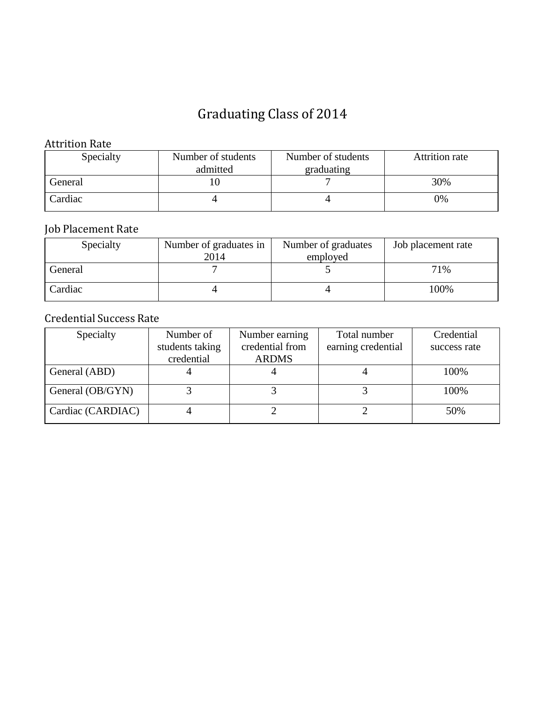#### Attrition Rate

| Specialty | Number of students<br>Number of students |            | <b>Attrition rate</b> |
|-----------|------------------------------------------|------------|-----------------------|
|           | admitted                                 | graduating |                       |
| General   |                                          |            | 30%                   |
| Cardiac   |                                          |            | 0%                    |

## Job Placement Rate

| Specialty | Number of graduates in<br>2014 | Number of graduates<br>employed | Job placement rate |
|-----------|--------------------------------|---------------------------------|--------------------|
| General   |                                |                                 | 71%                |
| Cardiac   |                                |                                 | 100%               |

| Specialty         | Number of       | Number earning  | Total number       | Credential   |
|-------------------|-----------------|-----------------|--------------------|--------------|
|                   | students taking | credential from | earning credential | success rate |
|                   | credential      | <b>ARDMS</b>    |                    |              |
| General (ABD)     |                 |                 |                    | 100%         |
| General (OB/GYN)  |                 |                 |                    | 100%         |
| Cardiac (CARDIAC) |                 |                 |                    | 50%          |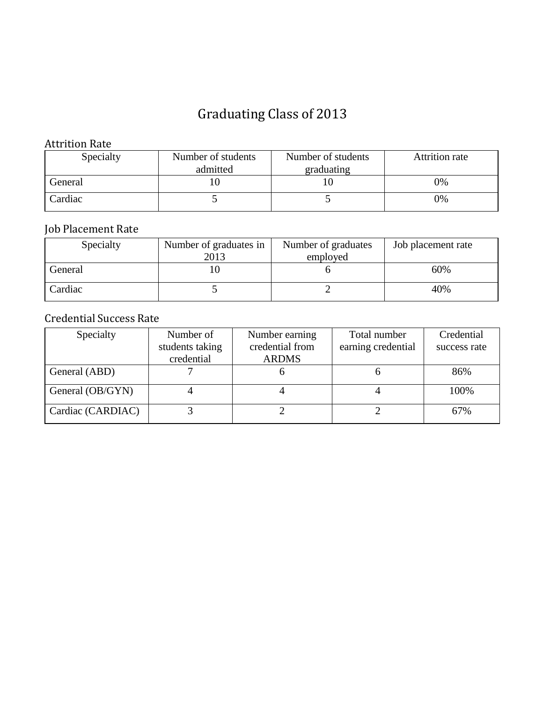#### Attrition Rate

| Specialty | Number of students<br>Number of students |            | <b>Attrition rate</b> |
|-----------|------------------------------------------|------------|-----------------------|
|           | admitted                                 | graduating |                       |
| General   |                                          |            | 0%                    |
| Cardiac   |                                          |            | 0%                    |

## Job Placement Rate

| Specialty | Number of graduates in<br>2013 | Number of graduates<br>employed | Job placement rate |
|-----------|--------------------------------|---------------------------------|--------------------|
| General   |                                |                                 | 60%                |
| Cardiac   |                                |                                 | 40%                |

| Specialty         | Number of       | Number earning  | Total number       | Credential   |
|-------------------|-----------------|-----------------|--------------------|--------------|
|                   | students taking | credential from | earning credential | success rate |
|                   | credential      | <b>ARDMS</b>    |                    |              |
| General (ABD)     |                 |                 |                    | 86%          |
| General (OB/GYN)  |                 |                 |                    | 100%         |
| Cardiac (CARDIAC) |                 |                 |                    | 67%          |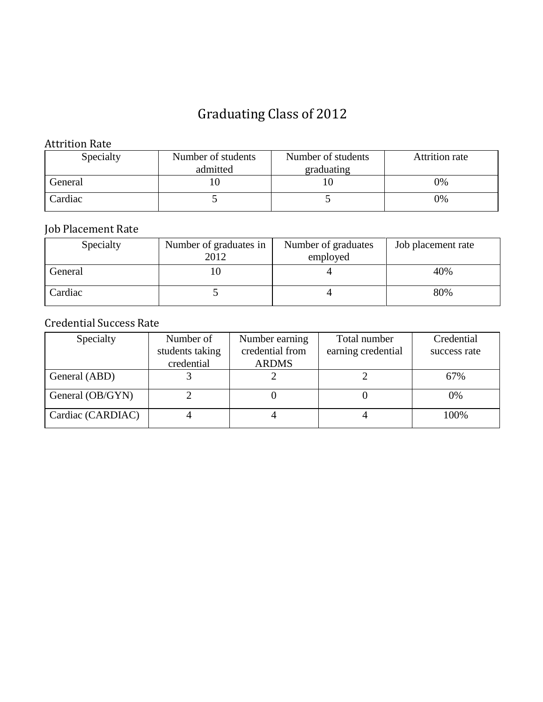#### Attrition Rate

| Specialty | Number of students<br>Number of students |            | <b>Attrition rate</b> |
|-----------|------------------------------------------|------------|-----------------------|
|           | admitted                                 | graduating |                       |
| General   | ιU                                       |            | 0%                    |
| Cardiac   |                                          |            | 0%                    |

### Job Placement Rate

| Specialty | Number of graduates in<br>2012 | Number of graduates<br>employed | Job placement rate |
|-----------|--------------------------------|---------------------------------|--------------------|
| General   |                                |                                 | 40%                |
| Cardiac   |                                |                                 | 80%                |

| Specialty         | Number of       | Number earning  | Total number       | Credential   |
|-------------------|-----------------|-----------------|--------------------|--------------|
|                   | students taking | credential from | earning credential | success rate |
|                   | credential      | <b>ARDMS</b>    |                    |              |
| General (ABD)     |                 |                 |                    | 67%          |
| General (OB/GYN)  |                 |                 |                    | 0%           |
| Cardiac (CARDIAC) |                 |                 |                    | 100%         |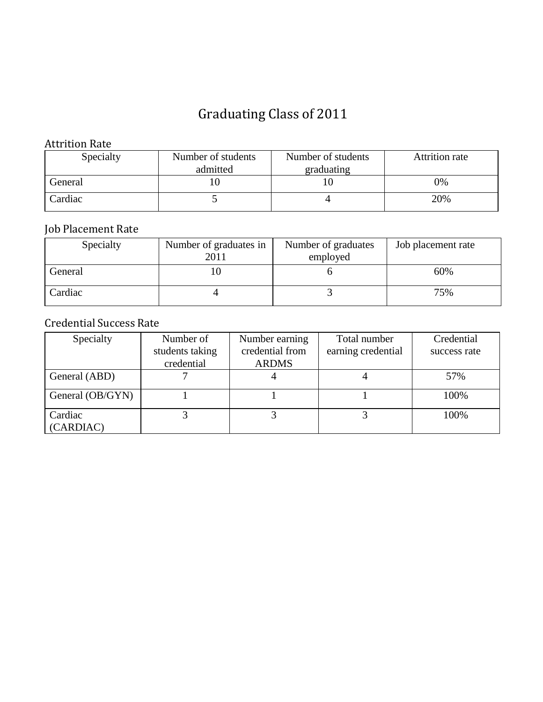#### Attrition Rate

| Specialty | Number of students<br>Number of students |            | Attrition rate |
|-----------|------------------------------------------|------------|----------------|
|           | admitted                                 | graduating |                |
| General   | ιU                                       |            | 0%             |
| Cardiac   |                                          |            | 20%            |

### Job Placement Rate

| Specialty | Number of graduates in<br>2011 | Number of graduates<br>employed | Job placement rate |
|-----------|--------------------------------|---------------------------------|--------------------|
| General   |                                |                                 | 60%                |
| Cardiac   |                                |                                 | 75%                |

| Specialty            | Number of       | Number earning  | Total number       | Credential   |
|----------------------|-----------------|-----------------|--------------------|--------------|
|                      | students taking | credential from | earning credential | success rate |
|                      | credential      | <b>ARDMS</b>    |                    |              |
| General (ABD)        |                 |                 |                    | 57%          |
| General (OB/GYN)     |                 |                 |                    | 100%         |
| Cardiac<br>(CARDIAC) |                 |                 |                    | 100%         |